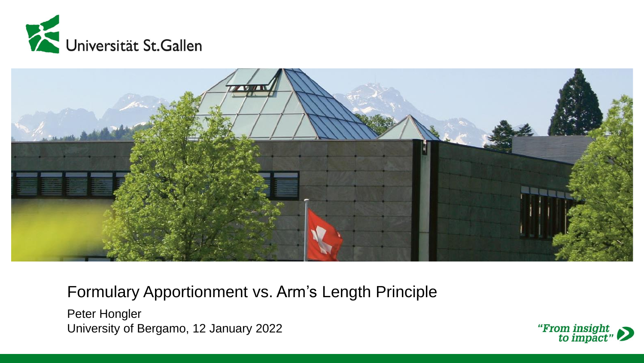



Formulary Apportionment vs. Arm's Length Principle

Peter Hongler University of Bergamo, 12 January 2022

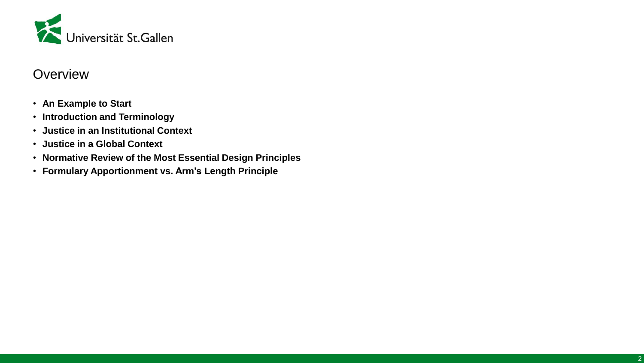

#### **Overview**

- **An Example to Start**
- **Introduction and Terminology**
- **Justice in an Institutional Context**
- **Justice in a Global Context**
- **Normative Review of the Most Essential Design Principles**
- **Formulary Apportionment vs. Arm's Length Principle**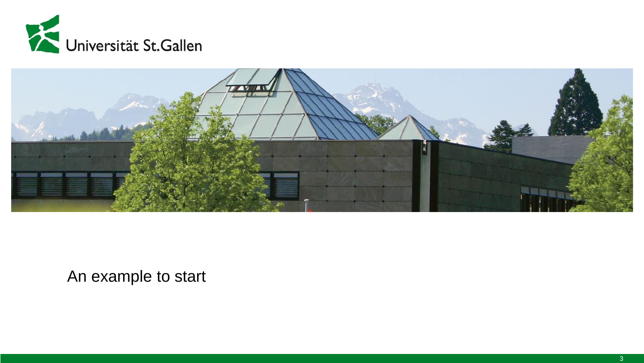



An example to start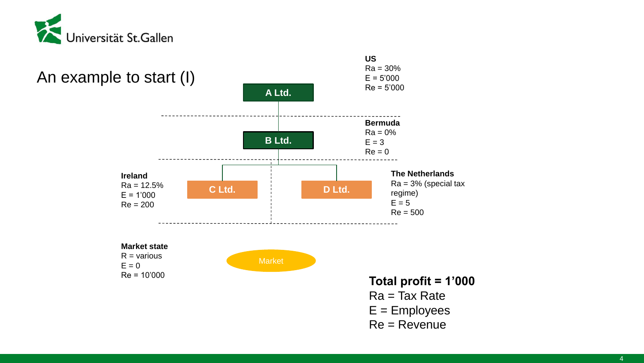

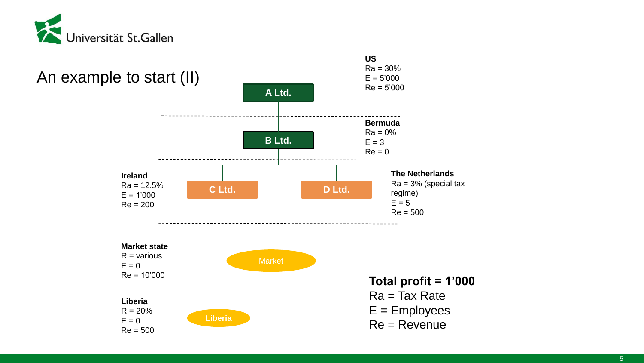

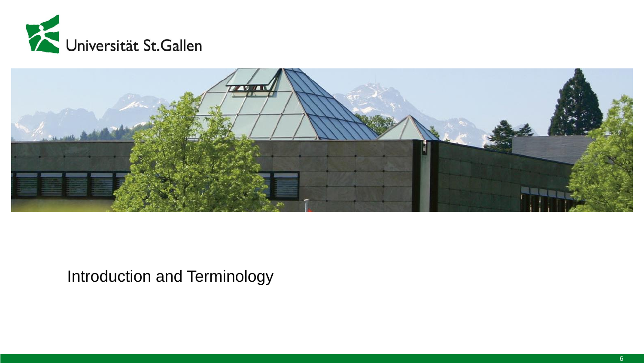



## Introduction and Terminology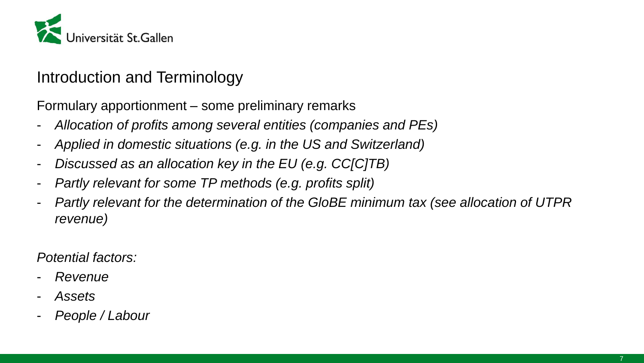

## Introduction and Terminology

Formulary apportionment – some preliminary remarks

- *Allocation of profits among several entities (companies and PEs)*
- *Applied in domestic situations (e.g. in the US and Switzerland)*
- *Discussed as an allocation key in the EU (e.g. CC[C]TB)*
- *Partly relevant for some TP methods (e.g. profits split)*
- *Partly relevant for the determination of the GloBE minimum tax (see allocation of UTPR revenue)*

*Potential factors:*

- *Revenue*
- *Assets*
- *People / Labour*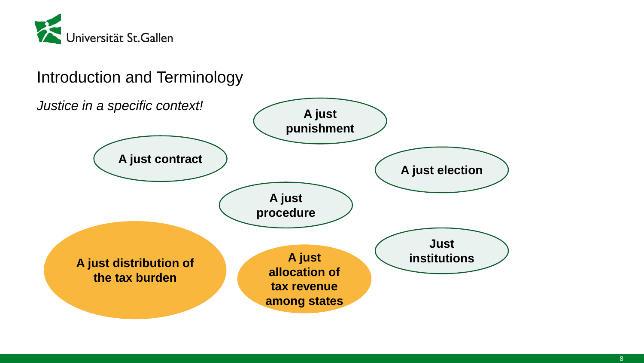

## Introduction and Terminology

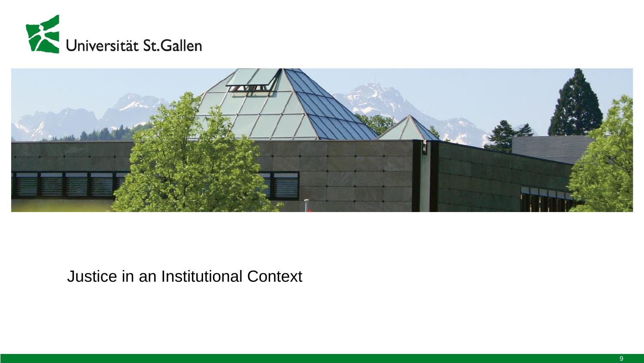



#### Justice in an Institutional Context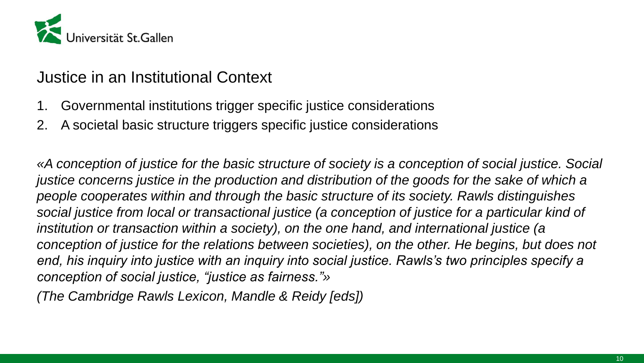

#### Justice in an Institutional Context

- 1. Governmental institutions trigger specific justice considerations
- 2. A societal basic structure triggers specific justice considerations

*«A conception of justice for the basic structure of society is a conception of social justice. Social justice concerns justice in the production and distribution of the goods for the sake of which a people cooperates within and through the basic structure of its society. Rawls distinguishes social justice from local or transactional justice (a conception of justice for a particular kind of institution or transaction within a society), on the one hand, and international justice (a*  conception of justice for the relations between societies), on the other. He begins, but does not *end, his inquiry into justice with an inquiry into social justice. Rawls's two principles specify a conception of social justice, "justice as fairness."»*

*(The Cambridge Rawls Lexicon, Mandle & Reidy [eds])*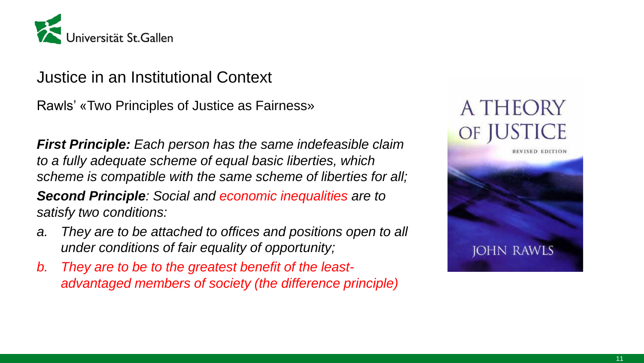

#### Justice in an Institutional Context

Rawls' «Two Principles of Justice as Fairness»

*First Principle: Each person has the same indefeasible claim to a fully adequate scheme of equal basic liberties, which scheme is compatible with the same scheme of liberties for all;*

*Second Principle: Social and economic inequalities are to satisfy two conditions:*

- *a. They are to be attached to offices and positions open to all under conditions of fair equality of opportunity;*
- *b. They are to be to the greatest benefit of the leastadvantaged members of society (the difference principle)*

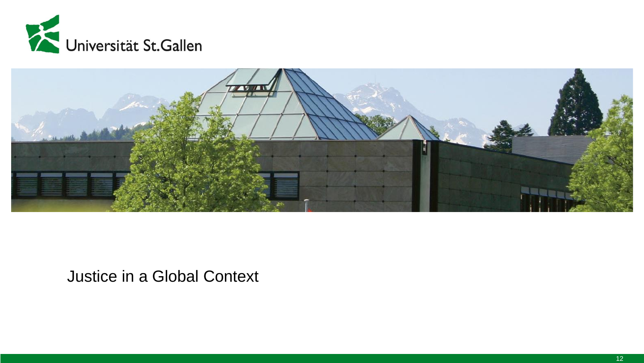

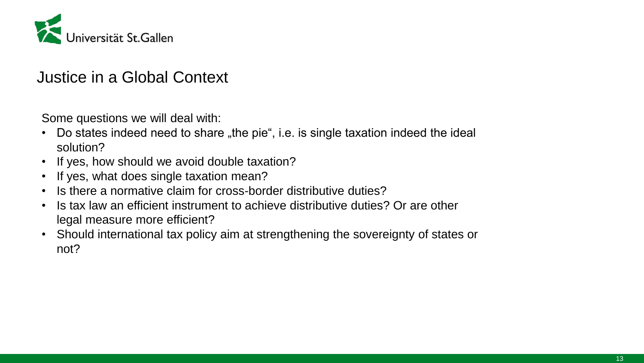

Some questions we will deal with:

- Do states indeed need to share "the pie", i.e. is single taxation indeed the ideal solution?
- If yes, how should we avoid double taxation?
- If yes, what does single taxation mean?
- Is there a normative claim for cross-border distributive duties?
- Is tax law an efficient instrument to achieve distributive duties? Or are other legal measure more efficient?
- Should international tax policy aim at strengthening the sovereignty of states or not?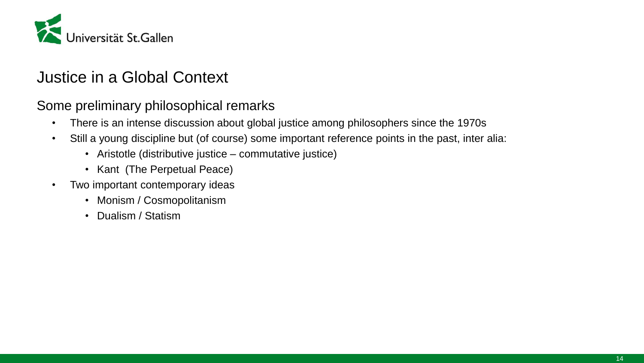

Some preliminary philosophical remarks

- There is an intense discussion about global justice among philosophers since the 1970s
- Still a young discipline but (of course) some important reference points in the past, inter alia:
	- Aristotle (distributive justice commutative justice)
	- Kant (The Perpetual Peace)
- Two important contemporary ideas
	- Monism / Cosmopolitanism
	- Dualism / Statism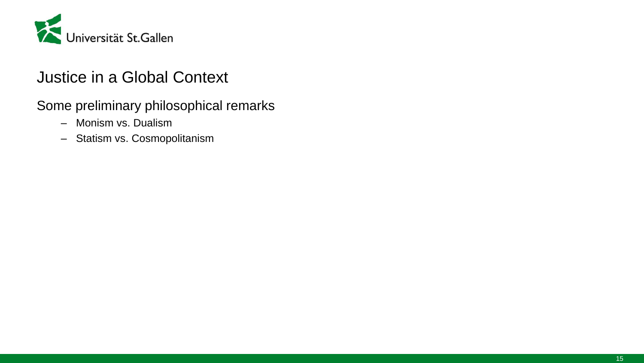

Some preliminary philosophical remarks

- Monism vs. Dualism
- Statism vs. Cosmopolitanism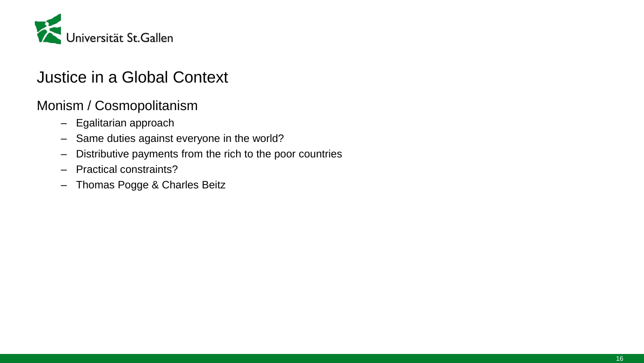

#### Monism / Cosmopolitanism

- Egalitarian approach
- Same duties against everyone in the world?
- Distributive payments from the rich to the poor countries
- Practical constraints?
- Thomas Pogge & Charles Beitz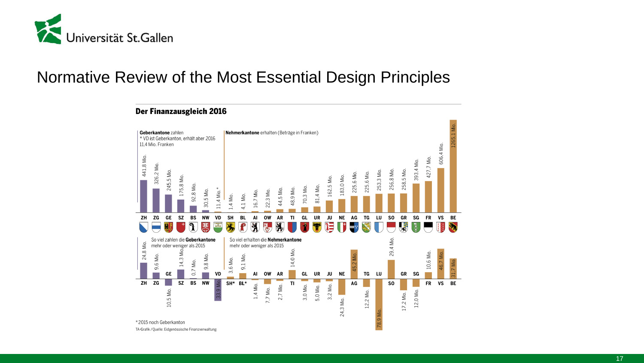

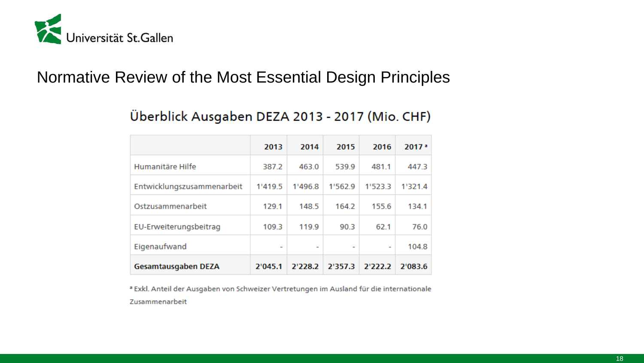

#### Überblick Ausgaben DEZA 2013 - 2017 (Mio. CHF)

|                            | 2013                     | 2014                     | 2015    | 2016    | $2017 -$ |
|----------------------------|--------------------------|--------------------------|---------|---------|----------|
| Humanitäre Hilfe           | 387.2                    | 463.0                    | 539.9   | 481.1   | 447.3    |
| Entwicklungszusammenarbeit | 1'419.5                  | 1'496.8                  | 1'562.9 | 1'523.3 | 1'321.4  |
| Ostzusammenarbeit          | 129.1                    | 148.5                    | 164.2   | 155.6   | 134.1    |
| EU-Erweiterungsbeitrag     | 109.3                    | 119.9                    | 90.3    | 62.1    | 76.0     |
| Eigenaufwand               | $\overline{\phantom{0}}$ | $\overline{\phantom{a}}$ | -       | -       | 104.8    |
| Gesamtausgaben DEZA        | 2'045.1                  | 2'228.2                  | 2'357.3 | 2'222.2 | 2'083.6  |

a Exkl. Anteil der Ausgaben von Schweizer Vertretungen im Ausland für die internationale Zusammenarbeit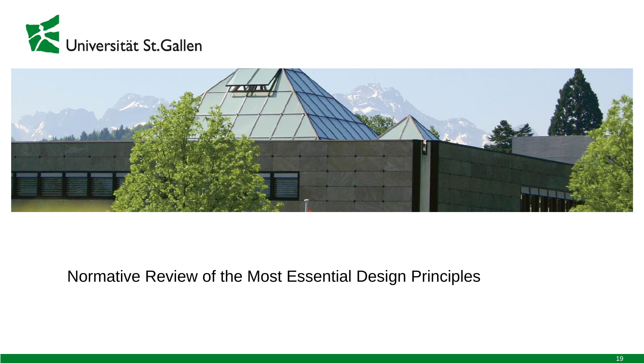

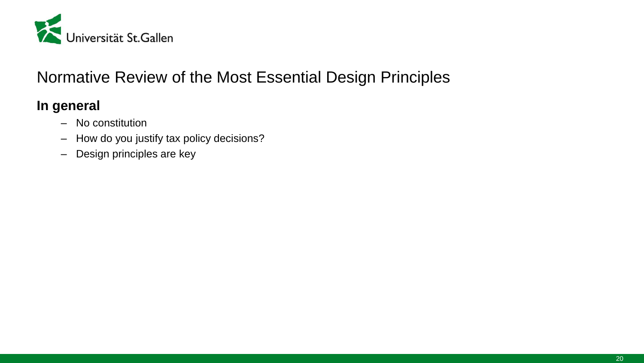

#### **In general**

- No constitution
- How do you justify tax policy decisions?
- Design principles are key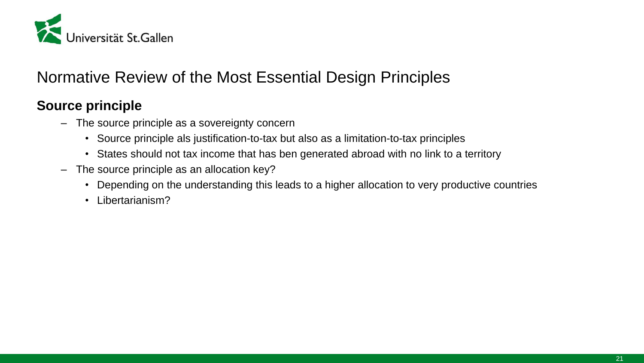

#### **Source principle**

- The source principle as a sovereignty concern
	- Source principle als justification-to-tax but also as a limitation-to-tax principles
	- States should not tax income that has ben generated abroad with no link to a territory
- The source principle as an allocation key?
	- Depending on the understanding this leads to a higher allocation to very productive countries
	- Libertarianism?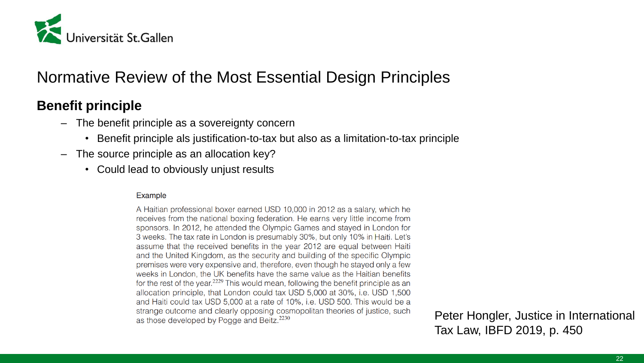

#### **Benefit principle**

- The benefit principle as a sovereignty concern
	- Benefit principle als justification-to-tax but also as a limitation-to-tax principle
- The source principle as an allocation key?
	- Could lead to obviously unjust results

#### Example

A Haitian professional boxer earned USD 10,000 in 2012 as a salary, which he receives from the national boxing federation. He earns very little income from sponsors. In 2012, he attended the Olympic Games and stayed in London for 3 weeks. The tax rate in London is presumably 30%, but only 10% in Haiti. Let's assume that the received benefits in the year 2012 are equal between Haiti and the United Kingdom, as the security and building of the specific Olympic premises were very expensive and, therefore, even though he stayed only a few weeks in London, the UK benefits have the same value as the Haitian benefits for the rest of the year.<sup>2229</sup> This would mean, following the benefit principle as an allocation principle, that London could tax USD 5,000 at 30%, i.e. USD 1,500 and Haiti could tax USD 5,000 at a rate of 10%, i.e. USD 500. This would be a strange outcome and clearly opposing cosmopolitan theories of justice, such as those developed by Pogge and Beitz.<sup>2230</sup>

Peter Hongler, Justice in International Tax Law, IBFD 2019, p. 450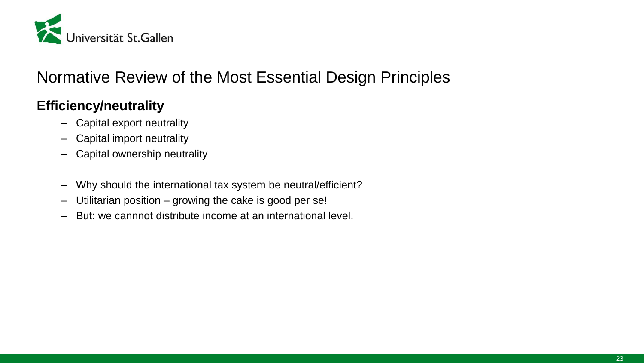

#### **Efficiency/neutrality**

- Capital export neutrality
- Capital import neutrality
- Capital ownership neutrality
- Why should the international tax system be neutral/efficient?
- Utilitarian position growing the cake is good per se!
- But: we cannnot distribute income at an international level.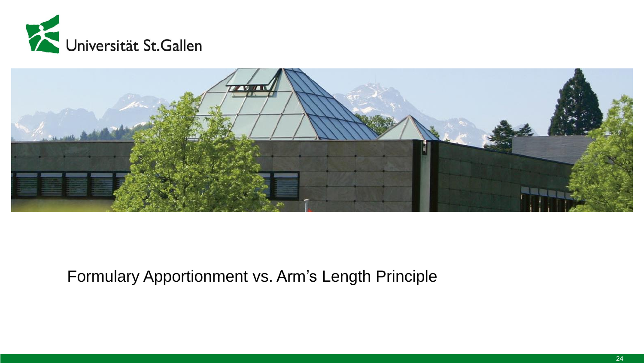



## Formulary Apportionment vs. Arm's Length Principle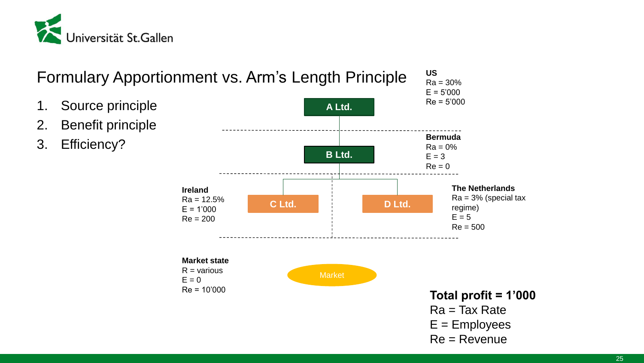



#### 25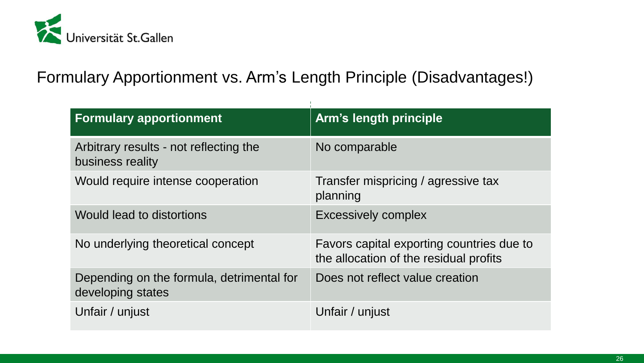

Formulary Apportionment vs. Arm's Length Principle (Disadvantages!)

| <b>Formulary apportionment</b>                                 | <b>Arm's length principle</b>                                                       |
|----------------------------------------------------------------|-------------------------------------------------------------------------------------|
| Arbitrary results - not reflecting the<br>business reality     | No comparable                                                                       |
| Would require intense cooperation                              | Transfer mispricing / agressive tax<br>planning                                     |
| Would lead to distortions                                      | <b>Excessively complex</b>                                                          |
| No underlying theoretical concept                              | Favors capital exporting countries due to<br>the allocation of the residual profits |
| Depending on the formula, detrimental for<br>developing states | Does not reflect value creation                                                     |
| Unfair / unjust                                                | Unfair / unjust                                                                     |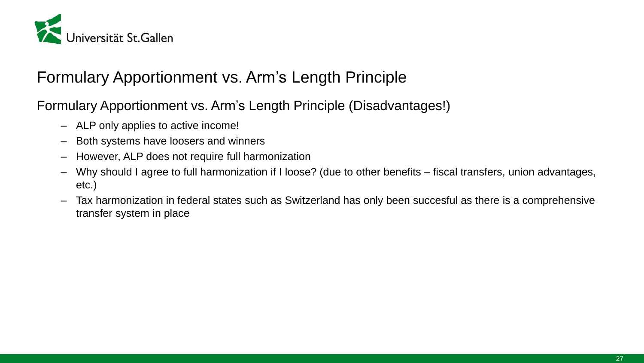

## Formulary Apportionment vs. Arm's Length Principle

Formulary Apportionment vs. Arm's Length Principle (Disadvantages!)

- ALP only applies to active income!
- Both systems have loosers and winners
- However, ALP does not require full harmonization
- Why should I agree to full harmonization if I loose? (due to other benefits fiscal transfers, union advantages, etc.)
- Tax harmonization in federal states such as Switzerland has only been succesful as there is a comprehensive transfer system in place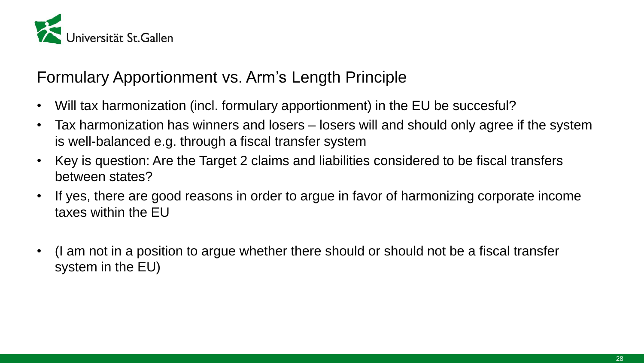

## Formulary Apportionment vs. Arm's Length Principle

- Will tax harmonization (incl. formulary apportionment) in the EU be succesful?
- Tax harmonization has winners and losers losers will and should only agree if the system is well-balanced e.g. through a fiscal transfer system
- Key is question: Are the Target 2 claims and liabilities considered to be fiscal transfers between states?
- If yes, there are good reasons in order to argue in favor of harmonizing corporate income taxes within the EU
- (I am not in a position to argue whether there should or should not be a fiscal transfer system in the EU)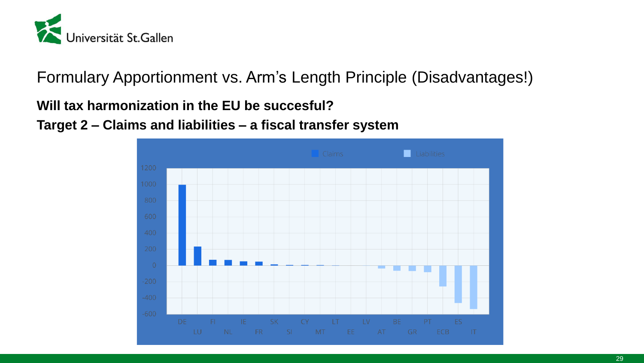

Formulary Apportionment vs. Arm's Length Principle (Disadvantages!)

#### **Will tax harmonization in the EU be succesful?**

**Target 2 – Claims and liabilities – a fiscal transfer system**